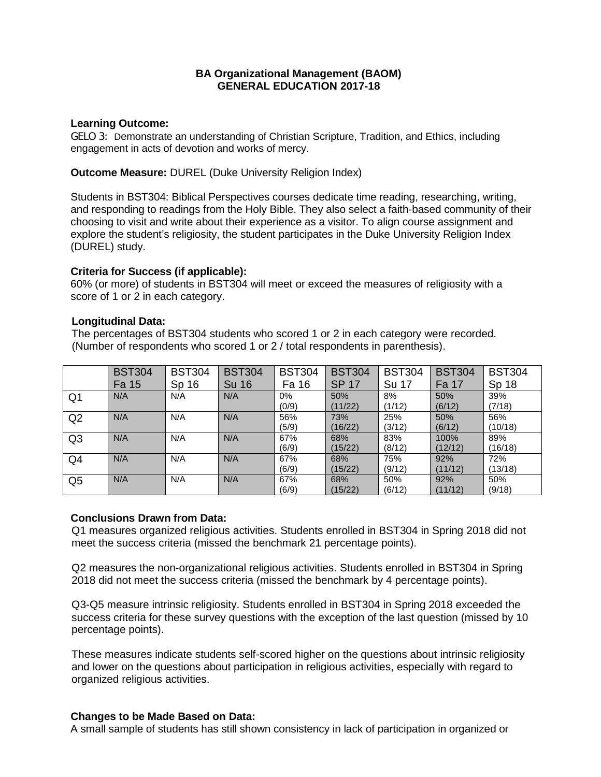# **BA Organizational Management (BAOM) GENERAL EDUCATION 2017-18**

### **Learning Outcome:**

GELO 3: Demonstrate an understanding of Christian Scripture, Tradition, and Ethics, including engagement in acts of devotion and works of mercy.

**Outcome Measure:** DUREL (Duke University Religion Index)

Students in BST304: Biblical Perspectives courses dedicate time reading, researching, writing, and responding to readings from the Holy Bible. They also select a faith-based community of their choosing to visit and write about their experience as a visitor. To align course assignment and explore the student's religiosity, the student participates in the Duke University Religion Index (DUREL) study.

## **Criteria for Success (if applicable):**

60% (or more) of students in BST304 will meet or exceed the measures of religiosity with a score of 1 or 2 in each category.

### **Longitudinal Data:**

 The percentages of BST304 students who scored 1 or 2 in each category were recorded. (Number of respondents who scored 1 or 2 / total respondents in parenthesis).

|                | <b>BST304</b> | <b>BST304</b> | <b>BST304</b> | <b>BST304</b> | <b>BST304</b> | <b>BST304</b> | <b>BST304</b> | <b>BST304</b> |
|----------------|---------------|---------------|---------------|---------------|---------------|---------------|---------------|---------------|
|                | Fa 15         | Sp 16         | <b>Su 16</b>  | Fa 16         | <b>SP 17</b>  | Su 17         | Fa 17         | Sp 18         |
| Q1             | N/A           | N/A           | N/A           | $0\%$         | 50%           | 8%            | 50%           | 39%           |
|                |               |               |               | (0/9)         | (11/22)       | (1/12)        | (6/12)        | (7/18)        |
| Q2             | N/A           | N/A           | N/A           | 56%           | 73%           | 25%           | 50%           | 56%           |
|                |               |               |               | (5/9)         | (16/22)       | (3/12)        | (6/12)        | (10/18)       |
| Q <sub>3</sub> | N/A           | N/A           | N/A           | 67%           | 68%           | 83%           | 100%          | 89%           |
|                |               |               |               | (6/9)         | (15/22)       | (8/12)        | (12/12)       | (16/18)       |
| Q4             | N/A           | N/A           | N/A           | 67%           | 68%           | 75%           | 92%           | 72%           |
|                |               |               |               | (6/9)         | (15/22)       | (9/12)        | (11/12)       | (13/18)       |
| Q <sub>5</sub> | N/A           | N/A           | N/A           | 67%           | 68%           | 50%           | 92%           | 50%           |
|                |               |               |               | (6/9)         | (15/22)       | (6/12)        | (11/12)       | (9/18)        |

### **Conclusions Drawn from Data:**

Q1 measures organized religious activities. Students enrolled in BST304 in Spring 2018 did not meet the success criteria (missed the benchmark 21 percentage points).

Q2 measures the non-organizational religious activities. Students enrolled in BST304 in Spring 2018 did not meet the success criteria (missed the benchmark by 4 percentage points).

Q3-Q5 measure intrinsic religiosity. Students enrolled in BST304 in Spring 2018 exceeded the success criteria for these survey questions with the exception of the last question (missed by 10 percentage points).

These measures indicate students self-scored higher on the questions about intrinsic religiosity and lower on the questions about participation in religious activities, especially with regard to organized religious activities.

### **Changes to be Made Based on Data:**

A small sample of students has still shown consistency in lack of participation in organized or